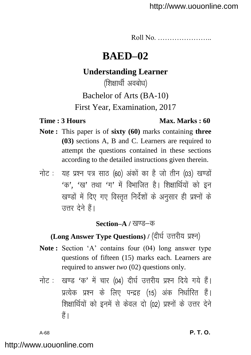Roll No. …………………..

# **BAED–02**

# **Understanding Learner**

(शिक्षार्थी अवबोध)

Bachelor of Arts (BA-10)

First Year, Examination, 2017

### **Time : 3 Hours Max. Marks : 60**

- **Note :** This paper is of **sixty (60)** marks containing **three (03)** sections A, B and C. Learners are required to attempt the questions contained in these sections according to the detailed instructions given therein.
- नोट: यह प्रश्न पत्र साठ (60) अंकों का है जो तीन (03) खण्डों  $4\pi$ ,  $4\pi$  तथा  $4\pi$  में विभाजित है। शिक्षार्थियों को इन खण्डों में दिए गए विस्तृत निर्देशों के अनुसार ही प्रश्नों के  $\vec{r}$ तत्तर देने हैं।

## **Section–A / खण्ड–क**

# **(Long Answer Type Questions) / (दीर्घ उत्तरीय प्रश्न)**

- Note: Section 'A' contains four (04) long answer type questions of fifteen (15) marks each. Learners are required to answer *two* (02) questions only.
- नोट: खण्ड 'क' में चार (04) दीर्घ उत्तरीय प्रश्न दिये गये हैं। प्रत्येक प्रश्न के लिए पन्द्रह (15) अंक निर्धारित हैं। शिक्षार्थियों को इनमें से केवल दो (02) प्रश्नों के उत्तर देने हैं।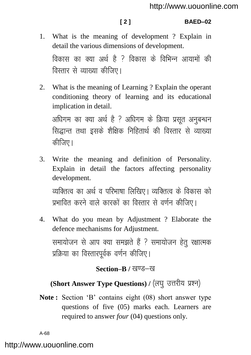### **[ 2 ] BAED–02**

1. What is the meaning of development ? Explain in detail the various dimensions of development.

विकास का क्या अर्थ है ? विकास के विभिन्न आयामों की विस्तार से व्याख्या कीजिए।

2. What is the meaning of Learning ? Explain the operant conditioning theory of learning and its educational implication in detail.

अधिगम का क्या अर्थ है ? अधिगम के क्रिया प्रसुत अनुबन्धन सिद्धान्त तथा इसके शैक्षिक निहितार्थ की विस्तार से व्याख्या कीजिए।

3. Write the meaning and definition of Personality. Explain in detail the factors affecting personality development.

व्यक्तित्व का अर्थ व परिभाषा लिखिए। व्यक्तित्व के विकास को प्रभावित करने वाले कारकों का विस्तार से वर्णन कीजिए।

4. What do you mean by Adjustment ? Elaborate the defence mechanisms for Adjustment. समायोजन से आप क्या समझते हैं ? समायोजन हेतू रक्षात्मक प्रक्रिया का विस्तारपूर्वक वर्णन कीजिए।

## **Section–B / खण्ड–ख**

# (Short Answer Type Questions) / (लघु उत्तरीय प्रश्न)

**Note :** Section "B" contains eight (08) short answer type questions of five (05) marks each. Learners are required to answer *four* (04) questions only.

A-68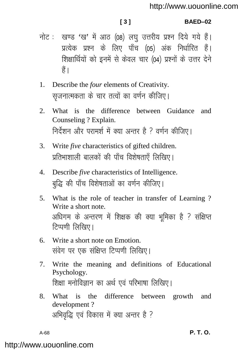### $131$

### BAED-02

- नोट: खण्ड 'ख' में आठ (08) लघु उत्तरीय प्रश्न दिये गये हैं। प्रत्येक प्रश्न के लिए पाँच (05) अंक निर्धारित हैं। शिक्षार्थियों को इनमें से केवल चार (04) प्रश्नों के उत्तर देने ੜੈਂ ।
- $1<sup>1</sup>$ Describe the four elements of Creativity. सुजनात्मकता के चार तत्वों का वर्णन कीजिए।
- $2^{\circ}$ What is the difference between Guidance and Counseling ? Explain. निर्देशन और परामर्श में क्या अन्तर है ? वर्णन कीजिए।
- 3. Write *five* characteristics of gifted children. प्रतिभाशाली बालकों की पाँच विशेषताएँ लिखिए।
- 4. Describe five characteristics of Intelligence. बद्धि की पाँच विशेषताओं का वर्णन कीजिए।
- What is the role of teacher in transfer of Learning?  $5<sub>1</sub>$ Write a short note. अधिगम के अन्तरण में शिक्षक की क्या भूमिका है ? संक्षिप्त टिप्पणी लिखिए।
- 6. Write a short note on Emotion. संवेग पर एक संक्षिप्त टिप्पणी लिखिए।
- Write the meaning and definitions of Educational 7. Psychology. शिक्षा मनोविज्ञान का अर्थ एवं परिभाषा लिखिए।
- difference between growth  $8<sub>1</sub>$ What is the and development? अभिवृद्धि एवं विकास में क्या अन्तर है ?

 $A-68$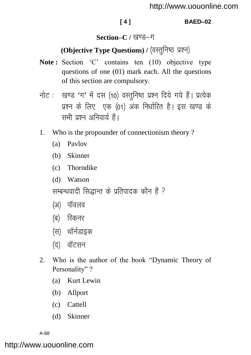### **[ 4 ] BAED–02**

## Section–C / खण्ड–ग

# **(Objective Type Questions) / (वस्तुनिष्ठ प्रश्न)**

- Note: Section 'C' contains ten (10) objective type questions of one (01) mark each. All the questions of this section are compulsory.
- नोट: खण्ड 'ग' में दस (10) वस्तुनिष्ठ प्रश्न दिये गये हैं। प्रत्येक प्रश्न के लिए एक (01) अंक निर्धारित है। इस खण्ड के सभी पत्रन अनिवार्य हैं।
- 1. Who is the propounder of connectionism theory ?
	- (a) Pavlov
	- (b) Skinner
	- (c) Thorndike
	- (d) Watson

सम्बन्धवादी सिद्धान्त के प्रतिपादक कौन हैं ?

- (अ) पॉवलव
- (ब) स्किनर
- (स) थॉर्नडाइक
- (द) वॉटसन
- 2. Who is the author of the book "Dynamic Theory of Personality"?
	- (a) Kurt Lewin
	- (b) Allport
	- (c) Cattell
	- (d) Skinner

A-68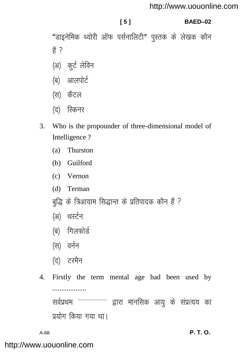### <http://www.uouonline.com>

### **[ 5 ] BAED–02**

"डाइनेमिक थ्योरी ऑफ पर्सनालिटी" पुस्तक के लेखक कौन  $\frac{3}{5}$  ?

- (अ) कुर्ट लेविन
- (ब) आलपोर्ट
- (स) कैटल
- (द) स्किनर
- 3. Who is the propounder of three-dimensional model of Intelligence ?
	- (a) Thurston
	- (b) Guilford
	- (c) Vernon
	- (d) Terman
	- बुद्धि के त्रिआयाम सिद्धान्त के प्रतिपादक कौन हैं ?
	- (अ) थर्स्टन
	- (ब) गिलफोर्ड
	- (स) वर्नन
	- (द) टरमैन
- 4. Firstly the term mental age had been used by ................... सर्वप्रथम -------------------------- द्वारा मानसिक आयु के संप्रत्यय का प्रयोग किया गया था।